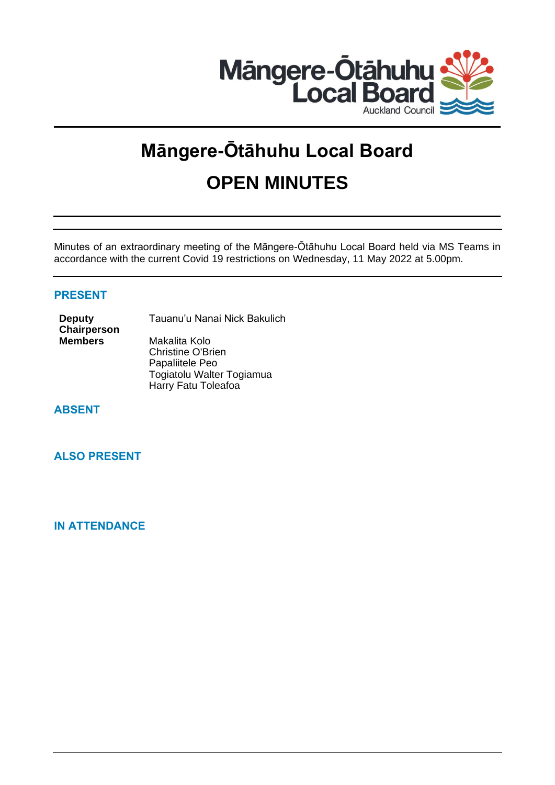

# **Māngere-Ōtāhuhu Local Board OPEN MINUTES**

Minutes of an extraordinary meeting of the Māngere-Ōtāhuhu Local Board held via MS Teams in accordance with the current Covid 19 restrictions on Wednesday, 11 May 2022 at 5.00pm.

# **PRESENT**

**Deputy Chairperson** Tauanu'u Nanai Nick Bakulich

**Members** Makalita Kolo Christine O'Brien Papaliitele Peo Togiatolu Walter Togiamua Harry Fatu Toleafoa

**ABSENT**

**ALSO PRESENT**

**IN ATTENDANCE**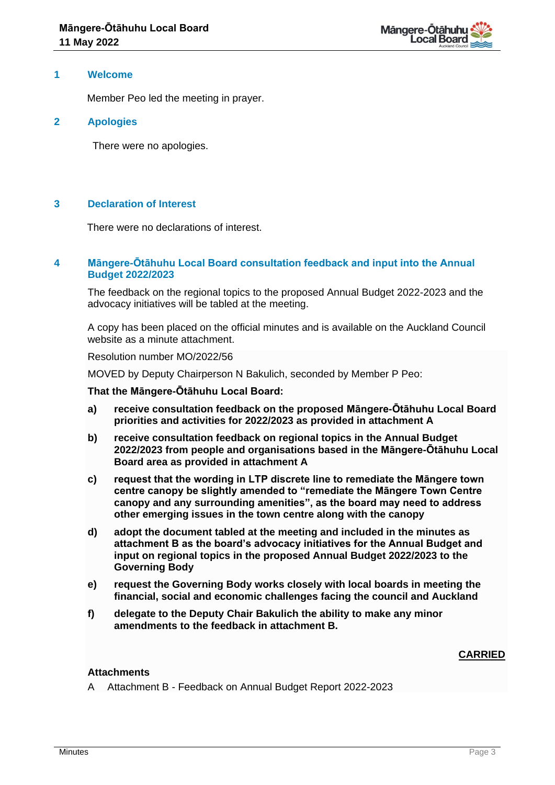

### **1 Welcome**

Member Peo led the meeting in prayer.

### **2 Apologies**

There were no apologies.

# **3 Declaration of Interest**

There were no declarations of interest.

# **4 Māngere-Ōtāhuhu Local Board consultation feedback and input into the Annual Budget 2022/2023**

The feedback on the regional topics to the proposed Annual Budget 2022-2023 and the advocacy initiatives will be tabled at the meeting.

A copy has been placed on the official minutes and is available on the Auckland Council website as a minute attachment.

Resolution number MO/2022/56

MOVED by Deputy Chairperson N Bakulich, seconded by Member P Peo:

#### **That the Māngere-Ōtāhuhu Local Board:**

- **a) receive consultation feedback on the proposed Māngere-Ōtāhuhu Local Board priorities and activities for 2022/2023 as provided in attachment A**
- **b) receive consultation feedback on regional topics in the Annual Budget 2022/2023 from people and organisations based in the Māngere-Ōtāhuhu Local Board area as provided in attachment A**
- **c) request that the wording in LTP discrete line to remediate the Māngere town centre canopy be slightly amended to "remediate the Māngere Town Centre canopy and any surrounding amenities", as the board may need to address other emerging issues in the town centre along with the canopy**
- **d) adopt the document tabled at the meeting and included in the minutes as attachment B as the board's advocacy initiatives for the Annual Budget and input on regional topics in the proposed Annual Budget 2022/2023 to the Governing Body**
- **e) request the Governing Body works closely with local boards in meeting the financial, social and economic challenges facing the council and Auckland**
- **f) delegate to the Deputy Chair Bakulich the ability to make any minor amendments to the feedback in attachment B.**

# **CARRIED**

#### **Attachments**

A Attachment B - Feedback on Annual Budget Report 2022-2023